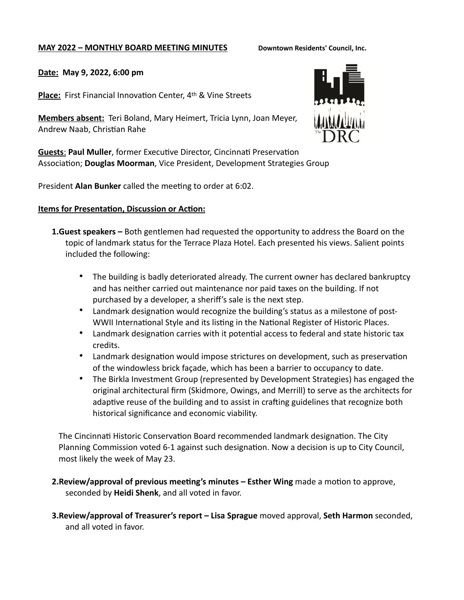### **MAY 2022 – MONTHLY BOARD MEETING MINUTES Downtown Residents' Council, Inc.**

### **Date: May 9, 2022, 6:00 pm**

**Place:** First Financial Innovation Center, 4th & Vine Streets

**Members absent:** Teri Boland, Mary Heimert, Tricia Lynn, Joan Meyer, Andrew Naab, Christian Rahe

**Guests**: **Paul Muller**, former Executive Director, Cincinnati Preservation Association; **Douglas Moorman**, Vice President, Development Strategies Group

President **Alan Bunker** called the meeting to order at 6:02.

### **Items for Presentation, Discussion or Action:**

- **1.Guest speakers –** Both gentlemen had requested the opportunity to address the Board on the topic of landmark status for the Terrace Plaza Hotel. Each presented his views. Salient points included the following:
	- The building is badly deteriorated already. The current owner has declared bankruptcy and has neither carried out maintenance nor paid taxes on the building. If not purchased by a developer, a sheriff's sale is the next step.
	- Landmark designation would recognize the building's status as a milestone of post-WWII International Style and its listing in the National Register of Historic Places.
	- Landmark designation carries with it potential access to federal and state historic tax credits.
	- Landmark designation would impose strictures on development, such as preservation of the windowless brick façade, which has been a barrier to occupancy to date.
	- The Birkla Investment Group (represented by Development Strategies) has engaged the original architectural firm (Skidmore, Owings, and Merrill) to serve as the architects for adaptive reuse of the building and to assist in crafting guidelines that recognize both historical significance and economic viability.

The Cincinnati Historic Conservation Board recommended landmark designation. The City Planning Commission voted 6-1 against such designation. Now a decision is up to City Council, most likely the week of May 23.

- **2.Review/approval of previous meeting's minutes – Esther Wing** made a motion to approve, seconded by **Heidi Shenk**, and all voted in favor.
- **3.Review/approval of Treasurer's report Lisa Sprague** moved approval, **Seth Harmon** seconded, and all voted in favor.